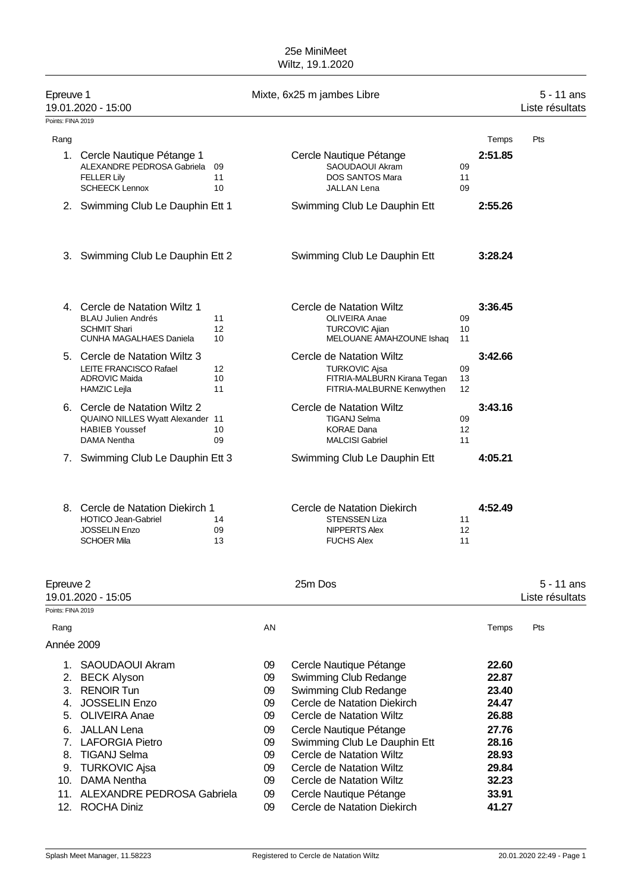### 25e MiniMeet Wiltz, 19.1.2020

| Epreuve 1         | 19.01.2020 - 15:00                                                                                                                                                                                                                                       |                |                                                                      | Mixte, 6x25 m jambes Libre                                                                                                                                                                                                                                                                                                                    |                |                                                                                                          | $5 - 11$ ans<br>Liste résultats |
|-------------------|----------------------------------------------------------------------------------------------------------------------------------------------------------------------------------------------------------------------------------------------------------|----------------|----------------------------------------------------------------------|-----------------------------------------------------------------------------------------------------------------------------------------------------------------------------------------------------------------------------------------------------------------------------------------------------------------------------------------------|----------------|----------------------------------------------------------------------------------------------------------|---------------------------------|
| Points: FINA 2019 |                                                                                                                                                                                                                                                          |                |                                                                      |                                                                                                                                                                                                                                                                                                                                               |                |                                                                                                          |                                 |
| Rang              |                                                                                                                                                                                                                                                          |                |                                                                      |                                                                                                                                                                                                                                                                                                                                               |                | Temps                                                                                                    | Pts                             |
|                   | 1. Cercle Nautique Pétange 1<br>ALEXANDRE PEDROSA Gabriela<br><b>FELLER Lily</b><br><b>SCHEECK Lennox</b>                                                                                                                                                | 09<br>11<br>10 |                                                                      | Cercle Nautique Pétange<br>SAOUDAOUI Akram<br><b>DOS SANTOS Mara</b><br>JALLAN Lena                                                                                                                                                                                                                                                           | 09<br>11<br>09 | 2:51.85                                                                                                  |                                 |
|                   | 2. Swimming Club Le Dauphin Ett 1                                                                                                                                                                                                                        |                |                                                                      | Swimming Club Le Dauphin Ett                                                                                                                                                                                                                                                                                                                  |                | 2:55.26                                                                                                  |                                 |
|                   | 3. Swimming Club Le Dauphin Ett 2                                                                                                                                                                                                                        |                |                                                                      | Swimming Club Le Dauphin Ett                                                                                                                                                                                                                                                                                                                  |                | 3:28.24                                                                                                  |                                 |
|                   | 4. Cercle de Natation Wiltz 1<br><b>BLAU Julien Andrés</b><br><b>SCHMIT Shari</b><br><b>CUNHA MAGALHAES Daniela</b>                                                                                                                                      | 11<br>12<br>10 |                                                                      | Cercle de Natation Wiltz<br><b>OLIVEIRA Anae</b><br><b>TURCOVIC Ajian</b><br>MELOUANE AMAHZOUNE Ishaq                                                                                                                                                                                                                                         | 09<br>10<br>11 | 3:36.45                                                                                                  |                                 |
|                   | 5. Cercle de Natation Wiltz 3<br><b>LEITE FRANCISCO Rafael</b><br><b>ADROVIC Maida</b><br><b>HAMZIC Lejla</b>                                                                                                                                            | 12<br>10<br>11 |                                                                      | Cercle de Natation Wiltz<br><b>TURKOVIC Ajsa</b><br>FITRIA-MALBURN Kirana Tegan<br>FITRIA-MALBURNE Kenwythen                                                                                                                                                                                                                                  | 09<br>13<br>12 | 3:42.66                                                                                                  |                                 |
|                   | 6. Cercle de Natation Wiltz 2<br>QUAINO NILLES Wyatt Alexander 11<br><b>HABIEB Youssef</b><br><b>DAMA Nentha</b>                                                                                                                                         | 10<br>09       |                                                                      | Cercle de Natation Wiltz<br><b>TIGANJ Selma</b><br><b>KORAE Dana</b><br><b>MALCISI Gabriel</b>                                                                                                                                                                                                                                                | 09<br>12<br>11 | 3:43.16                                                                                                  |                                 |
|                   | 7. Swimming Club Le Dauphin Ett 3                                                                                                                                                                                                                        |                |                                                                      | Swimming Club Le Dauphin Ett                                                                                                                                                                                                                                                                                                                  |                | 4:05.21                                                                                                  |                                 |
|                   | 8. Cercle de Natation Diekirch 1<br><b>HOTICO Jean-Gabriel</b><br><b>JOSSELIN Enzo</b><br><b>SCHOER Mila</b>                                                                                                                                             | 14<br>09<br>13 |                                                                      | Cercle de Natation Diekirch<br><b>STENSSEN Liza</b><br>NIPPERTS Alex<br><b>FUCHS Alex</b>                                                                                                                                                                                                                                                     | 11<br>12<br>11 | 4:52.49                                                                                                  |                                 |
| Epreuve 2         | 19.01.2020 - 15:05                                                                                                                                                                                                                                       |                |                                                                      | 25m Dos                                                                                                                                                                                                                                                                                                                                       |                |                                                                                                          | $5 - 11$ ans<br>Liste résultats |
| Points: FINA 2019 |                                                                                                                                                                                                                                                          |                |                                                                      |                                                                                                                                                                                                                                                                                                                                               |                |                                                                                                          |                                 |
| Rang              |                                                                                                                                                                                                                                                          |                | AN                                                                   |                                                                                                                                                                                                                                                                                                                                               |                | Temps                                                                                                    | Pts                             |
| Année 2009        |                                                                                                                                                                                                                                                          |                |                                                                      |                                                                                                                                                                                                                                                                                                                                               |                |                                                                                                          |                                 |
| 4.                | 1. SAOUDAOUI Akram<br>2. BECK Alyson<br>3. RENOIR Tun<br><b>JOSSELIN Enzo</b><br>5. OLIVEIRA Anae<br>6. JALLAN Lena<br>7. LAFORGIA Pietro<br>8. TIGANJ Selma<br>9. TURKOVIC Ajsa<br>10. DAMA Nentha<br>11. ALEXANDRE PEDROSA Gabriela<br>12. ROCHA Diniz |                | 09<br>09<br>09<br>09<br>09<br>09<br>09<br>09<br>09<br>09<br>09<br>09 | Cercle Nautique Pétange<br>Swimming Club Redange<br>Swimming Club Redange<br>Cercle de Natation Diekirch<br>Cercle de Natation Wiltz<br>Cercle Nautique Pétange<br>Swimming Club Le Dauphin Ett<br>Cercle de Natation Wiltz<br>Cercle de Natation Wiltz<br>Cercle de Natation Wiltz<br>Cercle Nautique Pétange<br>Cercle de Natation Diekirch |                | 22.60<br>22.87<br>23.40<br>24.47<br>26.88<br>27.76<br>28.16<br>28.93<br>29.84<br>32.23<br>33.91<br>41.27 |                                 |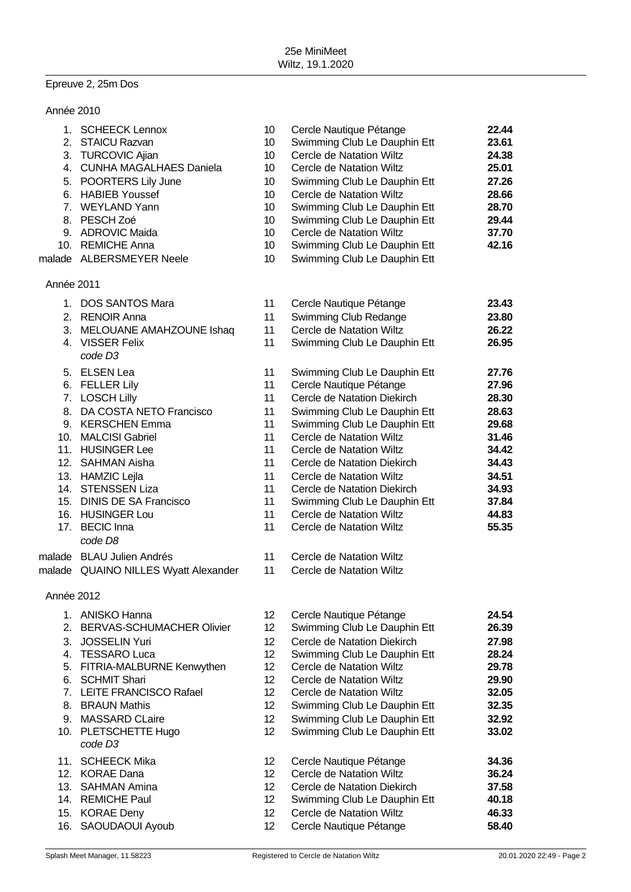# Epreuve 2, 25m Dos

| Année 2010 |                                                                                                                                                                                                                                                                                                     |                                                                                                                                                                                                                                  |                                                                                                                                                                                                                                                                                                                                                                                                  |                                                                                                                   |
|------------|-----------------------------------------------------------------------------------------------------------------------------------------------------------------------------------------------------------------------------------------------------------------------------------------------------|----------------------------------------------------------------------------------------------------------------------------------------------------------------------------------------------------------------------------------|--------------------------------------------------------------------------------------------------------------------------------------------------------------------------------------------------------------------------------------------------------------------------------------------------------------------------------------------------------------------------------------------------|-------------------------------------------------------------------------------------------------------------------|
|            | 1. SCHEECK Lennox<br>2. STAICU Razvan<br>3. TURCOVIC Ajian<br>4. CUNHA MAGALHAES Daniela<br>5. POORTERS Lily June<br>6. HABIEB Youssef<br>7. WEYLAND Yann<br>8. PESCH Zoé<br>9. ADROVIC Maida<br>10. REMICHE Anna<br>malade ALBERSMEYER Neele                                                       | 10 <sup>°</sup><br>10 <sup>°</sup><br>10<br>10 <sup>°</sup><br>10 <sup>°</sup><br>10<br>10 <sup>°</sup><br>10 <sup>°</sup><br>10<br>10 <sup>°</sup><br>10 <sup>°</sup>                                                           | Cercle Nautique Pétange<br>Swimming Club Le Dauphin Ett<br>Cercle de Natation Wiltz<br>Cercle de Natation Wiltz<br>Swimming Club Le Dauphin Ett<br>Cercle de Natation Wiltz<br>Swimming Club Le Dauphin Ett<br>Swimming Club Le Dauphin Ett<br>Cercle de Natation Wiltz<br>Swimming Club Le Dauphin Ett<br>Swimming Club Le Dauphin Ett                                                          | 22.44<br>23.61<br>24.38<br>25.01<br>27.26<br>28.66<br>28.70<br>29.44<br>37.70<br>42.16                            |
| Année 2011 |                                                                                                                                                                                                                                                                                                     |                                                                                                                                                                                                                                  |                                                                                                                                                                                                                                                                                                                                                                                                  |                                                                                                                   |
|            | 1. DOS SANTOS Mara<br>2. RENOIR Anna<br>3. MELOUANE AMAHZOUNE Ishaq<br>4. VISSER Felix<br>code D <sub>3</sub>                                                                                                                                                                                       | 11<br>11<br>11<br>11                                                                                                                                                                                                             | Cercle Nautique Pétange<br>Swimming Club Redange<br>Cercle de Natation Wiltz<br>Swimming Club Le Dauphin Ett                                                                                                                                                                                                                                                                                     | 23.43<br>23.80<br>26.22<br>26.95                                                                                  |
|            | 5. ELSEN Lea<br>6. FELLER Lily<br>7. LOSCH Lilly<br>8. DA COSTA NETO Francisco<br>9. KERSCHEN Emma<br>10. MALCISI Gabriel<br>11. HUSINGER Lee<br>12. SAHMAN Aisha<br>13. HAMZIC Lejla<br>14. STENSSEN Liza<br>15. DINIS DE SA Francisco<br>16. HUSINGER Lou<br>17. BECIC Inna<br>code D8            | 11<br>11<br>11<br>11<br>11<br>11<br>11<br>11<br>11<br>11<br>11<br>11<br>11                                                                                                                                                       | Swimming Club Le Dauphin Ett<br>Cercle Nautique Pétange<br>Cercle de Natation Diekirch<br>Swimming Club Le Dauphin Ett<br>Swimming Club Le Dauphin Ett<br>Cercle de Natation Wiltz<br>Cercle de Natation Wiltz<br>Cercle de Natation Diekirch<br>Cercle de Natation Wiltz<br>Cercle de Natation Diekirch<br>Swimming Club Le Dauphin Ett<br>Cercle de Natation Wiltz<br>Cercle de Natation Wiltz | 27.76<br>27.96<br>28.30<br>28.63<br>29.68<br>31.46<br>34.42<br>34.43<br>34.51<br>34.93<br>37.84<br>44.83<br>55.35 |
|            | malade BLAU Julien Andrés<br>malade QUAINO NILLES Wyatt Alexander                                                                                                                                                                                                                                   | 11<br>11                                                                                                                                                                                                                         | Cercle de Natation Wiltz<br>Cercle de Natation Wiltz                                                                                                                                                                                                                                                                                                                                             |                                                                                                                   |
| Année 2012 |                                                                                                                                                                                                                                                                                                     |                                                                                                                                                                                                                                  |                                                                                                                                                                                                                                                                                                                                                                                                  |                                                                                                                   |
|            | 1. ANISKO Hanna<br>2. BERVAS-SCHUMACHER Olivier<br>3. JOSSELIN Yuri<br>4. TESSARO Luca<br>5. FITRIA-MALBURNE Kenwythen<br>6. SCHMIT Shari<br>7. LEITE FRANCISCO Rafael<br>8. BRAUN Mathis<br>9. MASSARD CLaire<br>10. PLETSCHETTE Hugo<br>code D <sub>3</sub><br>11. SCHEECK Mika<br>12. KORAE Dana | 12 <sup>°</sup><br>12 <sub>2</sub><br>12 <sub>2</sub><br>12 <sub>2</sub><br>12 <sub>2</sub><br>12 <sub>2</sub><br>12 <sub>2</sub><br>12 <sup>°</sup><br>12 <sup>°</sup><br>12 <sup>2</sup><br>12 <sup>°</sup><br>12 <sub>2</sub> | Cercle Nautique Pétange<br>Swimming Club Le Dauphin Ett<br>Cercle de Natation Diekirch<br>Swimming Club Le Dauphin Ett<br>Cercle de Natation Wiltz<br>Cercle de Natation Wiltz<br>Cercle de Natation Wiltz<br>Swimming Club Le Dauphin Ett<br>Swimming Club Le Dauphin Ett<br>Swimming Club Le Dauphin Ett<br>Cercle Nautique Pétange<br>Cercle de Natation Wiltz                                | 24.54<br>26.39<br>27.98<br>28.24<br>29.78<br>29.90<br>32.05<br>32.35<br>32.92<br>33.02<br>34.36<br>36.24          |
|            | 13. SAHMAN Amina<br>14. REMICHE Paul<br>15. KORAE Deny<br>16. SAOUDAOUI Ayoub                                                                                                                                                                                                                       | 12 <sub>2</sub><br>12 <sub>2</sub><br>12 <sub>2</sub><br>12 <sub>2</sub>                                                                                                                                                         | Cercle de Natation Diekirch<br>Swimming Club Le Dauphin Ett<br>Cercle de Natation Wiltz<br>Cercle Nautique Pétange                                                                                                                                                                                                                                                                               | 37.58<br>40.18<br>46.33<br>58.40                                                                                  |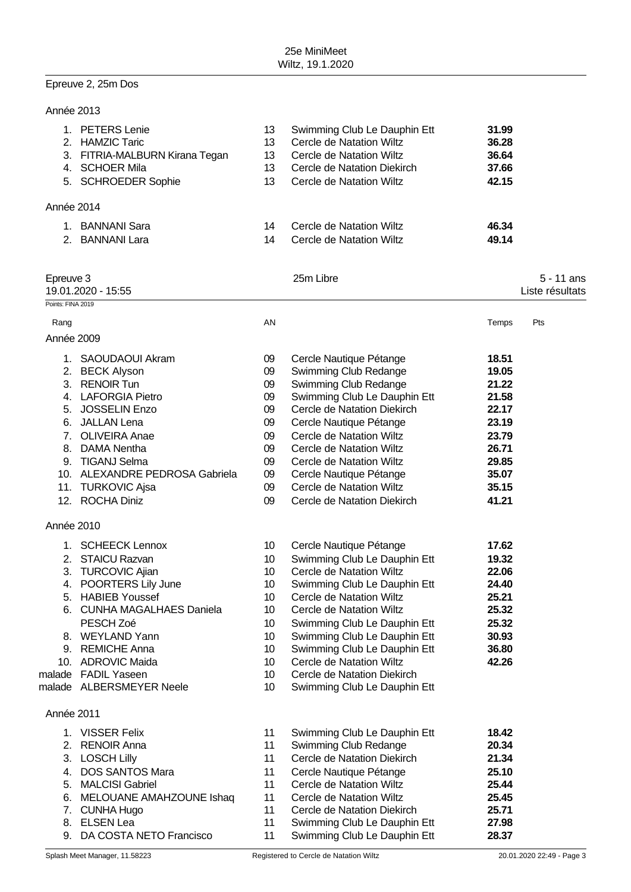# Epreuve 2, 25m Dos

| Année 2013                  |                                                                                                                                                                                                                                                                 |                                                                      |                                                                                                                                                                                                                                                                                                                                               |                                                                                                          |                                 |
|-----------------------------|-----------------------------------------------------------------------------------------------------------------------------------------------------------------------------------------------------------------------------------------------------------------|----------------------------------------------------------------------|-----------------------------------------------------------------------------------------------------------------------------------------------------------------------------------------------------------------------------------------------------------------------------------------------------------------------------------------------|----------------------------------------------------------------------------------------------------------|---------------------------------|
|                             | 1. PETERS Lenie<br>2. HAMZIC Taric<br>3. FITRIA-MALBURN Kirana Tegan<br>4. SCHOER Mila<br>5. SCHROEDER Sophie                                                                                                                                                   | 13<br>13<br>13<br>13<br>13                                           | Swimming Club Le Dauphin Ett<br>Cercle de Natation Wiltz<br>Cercle de Natation Wiltz<br>Cercle de Natation Diekirch<br>Cercle de Natation Wiltz                                                                                                                                                                                               | 31.99<br>36.28<br>36.64<br>37.66<br>42.15                                                                |                                 |
| Année 2014                  |                                                                                                                                                                                                                                                                 |                                                                      |                                                                                                                                                                                                                                                                                                                                               |                                                                                                          |                                 |
|                             | 1. BANNANI Sara<br>2. BANNANI Lara                                                                                                                                                                                                                              | 14<br>14                                                             | Cercle de Natation Wiltz<br>Cercle de Natation Wiltz                                                                                                                                                                                                                                                                                          | 46.34<br>49.14                                                                                           |                                 |
| Epreuve 3                   | 19.01.2020 - 15:55                                                                                                                                                                                                                                              |                                                                      | 25m Libre                                                                                                                                                                                                                                                                                                                                     |                                                                                                          | $5 - 11$ ans<br>Liste résultats |
| Points: FINA 2019           |                                                                                                                                                                                                                                                                 |                                                                      |                                                                                                                                                                                                                                                                                                                                               |                                                                                                          |                                 |
| Rang                        |                                                                                                                                                                                                                                                                 | AN                                                                   |                                                                                                                                                                                                                                                                                                                                               | Temps                                                                                                    | Pts                             |
| Année 2009                  |                                                                                                                                                                                                                                                                 |                                                                      |                                                                                                                                                                                                                                                                                                                                               |                                                                                                          |                                 |
| 7 <sub>1</sub><br>9.<br>11. | 1. SAOUDAOUI Akram<br>2. BECK Alyson<br>3. RENOIR Tun<br>4. LAFORGIA Pietro<br>5. JOSSELIN Enzo<br>6. JALLAN Lena<br><b>OLIVEIRA Anae</b><br>8. DAMA Nentha<br><b>TIGANJ Selma</b><br>10. ALEXANDRE PEDROSA Gabriela<br><b>TURKOVIC Ajsa</b><br>12. ROCHA Diniz | 09<br>09<br>09<br>09<br>09<br>09<br>09<br>09<br>09<br>09<br>09<br>09 | Cercle Nautique Pétange<br>Swimming Club Redange<br>Swimming Club Redange<br>Swimming Club Le Dauphin Ett<br>Cercle de Natation Diekirch<br>Cercle Nautique Pétange<br>Cercle de Natation Wiltz<br>Cercle de Natation Wiltz<br>Cercle de Natation Wiltz<br>Cercle Nautique Pétange<br>Cercle de Natation Wiltz<br>Cercle de Natation Diekirch | 18.51<br>19.05<br>21.22<br>21.58<br>22.17<br>23.19<br>23.79<br>26.71<br>29.85<br>35.07<br>35.15<br>41.21 |                                 |
| Année 2010                  |                                                                                                                                                                                                                                                                 |                                                                      |                                                                                                                                                                                                                                                                                                                                               |                                                                                                          |                                 |
|                             | 1. SCHEECK Lennox                                                                                                                                                                                                                                               | 10                                                                   | Cercle Nautique Pétange                                                                                                                                                                                                                                                                                                                       | 17.62                                                                                                    |                                 |

| Année 2011 |  |
|------------|--|

|         | iliee zu i l             |    |                              |       |
|---------|--------------------------|----|------------------------------|-------|
|         | <b>VISSER Felix</b>      | 11 | Swimming Club Le Dauphin Ett | 18.42 |
|         | 2. RENOIR Anna           | 11 | Swimming Club Redange        | 20.34 |
|         | 3. LOSCH Lilly           | 11 | Cercle de Natation Diekirch  | 21.34 |
| $4_{-}$ | <b>DOS SANTOS Mara</b>   | 11 | Cercle Nautique Pétange      | 25.10 |
|         | 5. MALCISI Gabriel       | 11 | Cercle de Natation Wiltz     | 25.44 |
| 6.      | MELOUANE AMAHZOUNE Ishaq | 11 | Cercle de Natation Wiltz     | 25.45 |
|         | 7. CUNHA Hugo            | 11 | Cercle de Natation Diekirch  | 25.71 |
| 8.      | <b>ELSEN Lea</b>         | 11 | Swimming Club Le Dauphin Ett | 27.98 |
| 9.      | DA COSTA NETO Francisco  | 11 | Swimming Club Le Dauphin Ett | 28.37 |

malade FADIL Yaseen 10 Cercle de Natation Diekirch malade ALBERSMEYER Neele 10 Swimming Club Le Dauphin Ett

2. STAICU Razvan 10 Swimming Club Le Dauphin Ett **19.32** 3. TURCOVIC Ajian 10 Cercle de Natation Wiltz **22.06** 4. POORTERS Lily June 10 Swimming Club Le Dauphin Ett **24.40** 5. HABIEB Youssef 10 Cercle de Natation Wiltz **25.21** 6. CUNHA MAGALHAES Daniela 10 Cercle de Natation Wiltz **25.32** PESCH Zoé **10** Swimming Club Le Dauphin Ett **25.32** 8. WEYLAND Yann 10 Swimming Club Le Dauphin Ett 30.93 9. REMICHE Anna **10** Swimming Club Le Dauphin Ett **36.80**<br>10 Cercle de Natation Wiltz **42.26** 

10. ADROVIC Maida 10 Cercle de Natation Wiltz **42.26**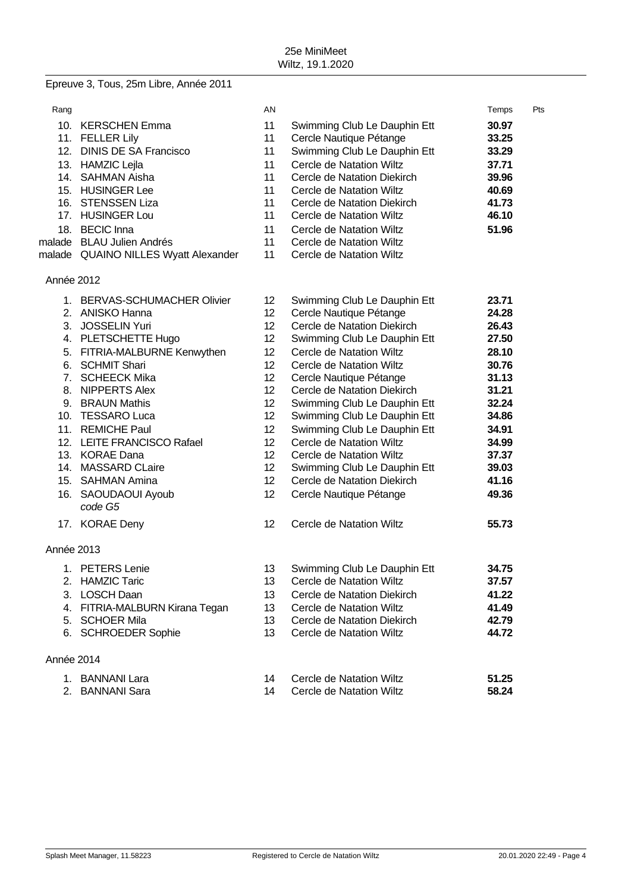# Epreuve 3, Tous, 25m Libre, Année 2011

| Rang       |                                      | AN              |                              | Temps | Pts |
|------------|--------------------------------------|-----------------|------------------------------|-------|-----|
|            | 10. KERSCHEN Emma                    | 11              | Swimming Club Le Dauphin Ett | 30.97 |     |
|            | 11. FELLER Lily                      | 11              | Cercle Nautique Pétange      | 33.25 |     |
|            | 12. DINIS DE SA Francisco            | 11              | Swimming Club Le Dauphin Ett | 33.29 |     |
|            | 13. HAMZIC Lejla                     | 11              | Cercle de Natation Wiltz     | 37.71 |     |
|            | 14. SAHMAN Aisha                     | 11              | Cercle de Natation Diekirch  | 39.96 |     |
|            | 15. HUSINGER Lee                     | 11              | Cercle de Natation Wiltz     | 40.69 |     |
|            | 16. STENSSEN Liza                    | 11              | Cercle de Natation Diekirch  | 41.73 |     |
|            | 17. HUSINGER Lou                     | 11              | Cercle de Natation Wiltz     | 46.10 |     |
|            | 18. BECIC Inna                       | 11              | Cercle de Natation Wiltz     | 51.96 |     |
|            | malade BLAU Julien Andrés            | 11              | Cercle de Natation Wiltz     |       |     |
|            | malade QUAINO NILLES Wyatt Alexander | 11              | Cercle de Natation Wiltz     |       |     |
|            |                                      |                 |                              |       |     |
| Année 2012 |                                      |                 |                              |       |     |
|            | 1. BERVAS-SCHUMACHER Olivier         | 12 <sub>2</sub> | Swimming Club Le Dauphin Ett | 23.71 |     |
|            | 2. ANISKO Hanna                      | 12 <sup>2</sup> | Cercle Nautique Pétange      | 24.28 |     |
|            | 3. JOSSELIN Yuri                     | 12 <sup>2</sup> | Cercle de Natation Diekirch  | 26.43 |     |
|            | 4. PLETSCHETTE Hugo                  | 12              | Swimming Club Le Dauphin Ett | 27.50 |     |
|            | 5. FITRIA-MALBURNE Kenwythen         | 12 <sup>2</sup> | Cercle de Natation Wiltz     | 28.10 |     |
|            | 6. SCHMIT Shari                      | 12 <sup>2</sup> | Cercle de Natation Wiltz     | 30.76 |     |
|            | 7. SCHEECK Mika                      | 12              | Cercle Nautique Pétange      | 31.13 |     |
|            | 8. NIPPERTS Alex                     | 12 <sup>2</sup> | Cercle de Natation Diekirch  | 31.21 |     |
|            | 9. BRAUN Mathis                      | 12              | Swimming Club Le Dauphin Ett | 32.24 |     |
|            | 10. TESSARO Luca                     | 12              | Swimming Club Le Dauphin Ett | 34.86 |     |
|            | 11. REMICHE Paul                     | 12 <sup>2</sup> | Swimming Club Le Dauphin Ett | 34.91 |     |
|            | 12. LEITE FRANCISCO Rafael           | 12 <sup>°</sup> | Cercle de Natation Wiltz     | 34.99 |     |
|            | 13. KORAE Dana                       | 12 <sup>°</sup> | Cercle de Natation Wiltz     | 37.37 |     |
|            | 14. MASSARD CLaire                   | 12 <sup>2</sup> | Swimming Club Le Dauphin Ett | 39.03 |     |
|            | 15. SAHMAN Amina                     | 12 <sup>°</sup> | Cercle de Natation Diekirch  | 41.16 |     |
|            | 16. SAOUDAOUI Ayoub<br>code G5       | 12 <sub>2</sub> | Cercle Nautique Pétange      | 49.36 |     |
|            | 17. KORAE Deny                       | 12              | Cercle de Natation Wiltz     | 55.73 |     |
| Année 2013 |                                      |                 |                              |       |     |
|            | 1. PETERS Lenie                      | 13              | Swimming Club Le Dauphin Ett | 34.75 |     |
|            | 2. HAMZIC Taric                      | 13              | Cercle de Natation Wiltz     | 37.57 |     |
| 3.         | <b>LOSCH Daan</b>                    | 13              | Cercle de Natation Diekirch  | 41.22 |     |
| 4.         | FITRIA-MALBURN Kirana Tegan          | 13              | Cercle de Natation Wiltz     | 41.49 |     |
| 5.         | <b>SCHOER Mila</b>                   | 13              | Cercle de Natation Diekirch  | 42.79 |     |
|            | 6. SCHROEDER Sophie                  | 13              | Cercle de Natation Wiltz     | 44.72 |     |
| Année 2014 |                                      |                 |                              |       |     |
|            | 1. BANNANI Lara                      | 14              | Cercle de Natation Wiltz     | 51.25 |     |
| 2.         | <b>BANNANI Sara</b>                  | 14              | Cercle de Natation Wiltz     | 58.24 |     |
|            |                                      |                 |                              |       |     |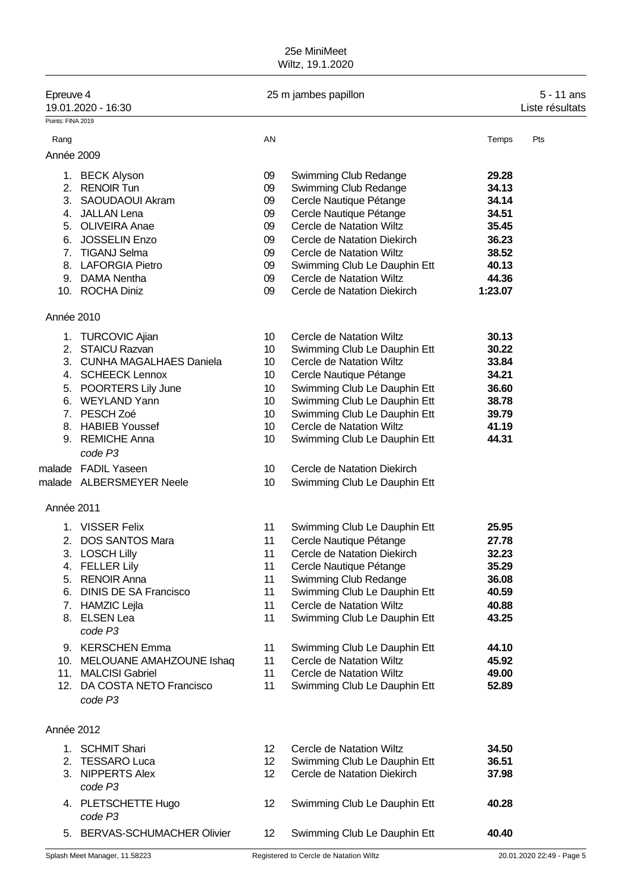## 25e MiniMeet Wiltz, 19.1.2020

| Epreuve 4         | 19.01.2020 - 16:30           |                 | 25 m jambes papillon         |         | 5 - 11 ans<br>Liste résultats |
|-------------------|------------------------------|-----------------|------------------------------|---------|-------------------------------|
| Points: FINA 2019 |                              |                 |                              |         |                               |
| Rang              |                              | AN              |                              | Temps   | Pts                           |
| Année 2009        |                              |                 |                              |         |                               |
|                   |                              |                 |                              |         |                               |
|                   | 1. BECK Alyson               | 09              | Swimming Club Redange        | 29.28   |                               |
|                   | 2. RENOIR Tun                | 09              | Swimming Club Redange        | 34.13   |                               |
|                   | 3. SAOUDAOUI Akram           | 09              | Cercle Nautique Pétange      | 34.14   |                               |
|                   | 4. JALLAN Lena               | 09              | Cercle Nautique Pétange      | 34.51   |                               |
|                   | 5. OLIVEIRA Anae             | 09              | Cercle de Natation Wiltz     | 35.45   |                               |
| 6.                | <b>JOSSELIN Enzo</b>         | 09              | Cercle de Natation Diekirch  | 36.23   |                               |
|                   | 7. TIGANJ Selma              | 09              | Cercle de Natation Wiltz     | 38.52   |                               |
|                   | 8. LAFORGIA Pietro           | 09              | Swimming Club Le Dauphin Ett | 40.13   |                               |
|                   | 9. DAMA Nentha               | 09              | Cercle de Natation Wiltz     | 44.36   |                               |
|                   | 10. ROCHA Diniz              | 09              | Cercle de Natation Diekirch  | 1:23.07 |                               |
|                   |                              |                 |                              |         |                               |
| Année 2010        |                              |                 |                              |         |                               |
| 1.                | <b>TURCOVIC Ajian</b>        | 10              | Cercle de Natation Wiltz     | 30.13   |                               |
|                   | 2. STAICU Razvan             | 10              | Swimming Club Le Dauphin Ett | 30.22   |                               |
|                   | 3. CUNHA MAGALHAES Daniela   | 10              | Cercle de Natation Wiltz     | 33.84   |                               |
|                   | 4. SCHEECK Lennox            | 10              | Cercle Nautique Pétange      | 34.21   |                               |
|                   | 5. POORTERS Lily June        | 10              | Swimming Club Le Dauphin Ett | 36.60   |                               |
|                   | 6. WEYLAND Yann              | 10              | Swimming Club Le Dauphin Ett | 38.78   |                               |
|                   | 7. PESCH Zoé                 | 10              | Swimming Club Le Dauphin Ett | 39.79   |                               |
|                   | 8. HABIEB Youssef            | 10              | Cercle de Natation Wiltz     | 41.19   |                               |
|                   | 9. REMICHE Anna              | 10              |                              | 44.31   |                               |
|                   | code P3                      |                 | Swimming Club Le Dauphin Ett |         |                               |
|                   | malade FADIL Yaseen          | 10              | Cercle de Natation Diekirch  |         |                               |
|                   | malade ALBERSMEYER Neele     | 10              | Swimming Club Le Dauphin Ett |         |                               |
| Année 2011        |                              |                 |                              |         |                               |
|                   | 1. VISSER Felix              | 11              | Swimming Club Le Dauphin Ett | 25.95   |                               |
|                   | 2. DOS SANTOS Mara           | 11              | Cercle Nautique Pétange      | 27.78   |                               |
|                   | 3. LOSCH Lilly               | 11              | Cercle de Natation Diekirch  | 32.23   |                               |
|                   | 4. FELLER Lily               | 11              | Cercle Nautique Pétange      | 35.29   |                               |
|                   | 5. RENOIR Anna               | 11              | Swimming Club Redange        | 36.08   |                               |
|                   | 6. DINIS DE SA Francisco     | 11              | Swimming Club Le Dauphin Ett |         |                               |
|                   |                              |                 |                              | 40.59   |                               |
|                   | 7. HAMZIC Lejla              | 11              | Cercle de Natation Wiltz     | 40.88   |                               |
|                   | 8. ELSEN Lea<br>code P3      | 11              | Swimming Club Le Dauphin Ett | 43.25   |                               |
|                   | 9. KERSCHEN Emma             | 11              | Swimming Club Le Dauphin Ett | 44.10   |                               |
|                   | 10. MELOUANE AMAHZOUNE Ishaq | 11              | Cercle de Natation Wiltz     | 45.92   |                               |
|                   | 11. MALCISI Gabriel          | 11              | Cercle de Natation Wiltz     | 49.00   |                               |
|                   | 12. DA COSTA NETO Francisco  | 11              | Swimming Club Le Dauphin Ett | 52.89   |                               |
|                   | code P3                      |                 |                              |         |                               |
|                   |                              |                 |                              |         |                               |
| Année 2012        |                              |                 |                              |         |                               |
|                   | 1. SCHMIT Shari              | 12 <sup>°</sup> | Cercle de Natation Wiltz     | 34.50   |                               |
|                   | 2. TESSARO Luca              | 12 <sup>°</sup> | Swimming Club Le Dauphin Ett | 36.51   |                               |
|                   | 3. NIPPERTS Alex             | 12 <sup>°</sup> | Cercle de Natation Diekirch  | 37.98   |                               |
|                   | code P3                      |                 |                              |         |                               |
|                   | 4. PLETSCHETTE Hugo          | 12              | Swimming Club Le Dauphin Ett | 40.28   |                               |
|                   | code P3                      |                 |                              |         |                               |
|                   | 5. BERVAS-SCHUMACHER Olivier | 12 <sup>°</sup> | Swimming Club Le Dauphin Ett | 40.40   |                               |
|                   |                              |                 |                              |         |                               |